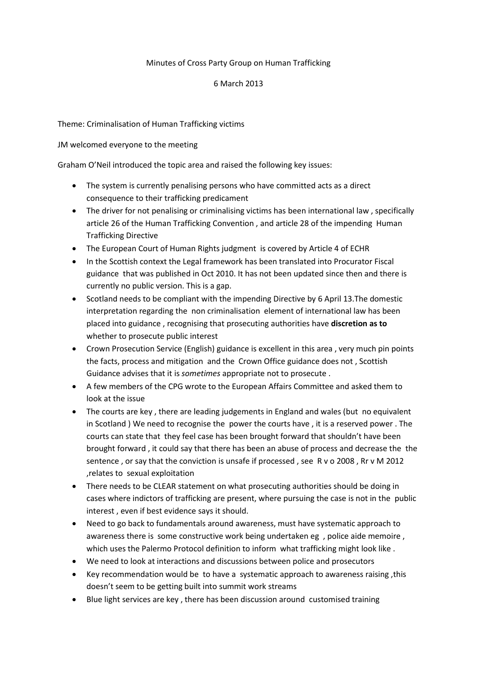## Minutes of Cross Party Group on Human Trafficking

#### 6 March 2013

## Theme: Criminalisation of Human Trafficking victims

#### JM welcomed everyone to the meeting

Graham O'Neil introduced the topic area and raised the following key issues:

- The system is currently penalising persons who have committed acts as a direct consequence to their trafficking predicament
- The driver for not penalising or criminalising victims has been international law, specifically article 26 of the Human Trafficking Convention , and article 28 of the impending Human Trafficking Directive
- The European Court of Human Rights judgment is covered by Article 4 of ECHR
- In the Scottish context the Legal framework has been translated into Procurator Fiscal guidance that was published in Oct 2010. It has not been updated since then and there is currently no public version. This is a gap.
- Scotland needs to be compliant with the impending Directive by 6 April 13. The domestic interpretation regarding the non criminalisation element of international law has been placed into guidance , recognising that prosecuting authorities have **discretion as to**  whether to prosecute public interest
- Crown Prosecution Service (English) guidance is excellent in this area , very much pin points the facts, process and mitigation and the Crown Office guidance does not , Scottish Guidance advises that it is *sometimes* appropriate not to prosecute .
- A few members of the CPG wrote to the European Affairs Committee and asked them to look at the issue
- The courts are key , there are leading judgements in England and wales (but no equivalent in Scotland ) We need to recognise the power the courts have , it is a reserved power . The courts can state that they feel case has been brought forward that shouldn't have been brought forward , it could say that there has been an abuse of process and decrease the the sentence , or say that the conviction is unsafe if processed , see R v o 2008 , Rr v M 2012 ,relates to sexual exploitation
- There needs to be CLEAR statement on what prosecuting authorities should be doing in cases where indictors of trafficking are present, where pursuing the case is not in the public interest , even if best evidence says it should.
- Need to go back to fundamentals around awareness, must have systematic approach to awareness there is some constructive work being undertaken eg , police aide memoire , which uses the Palermo Protocol definition to inform what trafficking might look like .
- We need to look at interactions and discussions between police and prosecutors
- Key recommendation would be to have a systematic approach to awareness raising ,this doesn't seem to be getting built into summit work streams
- Blue light services are key , there has been discussion around customised training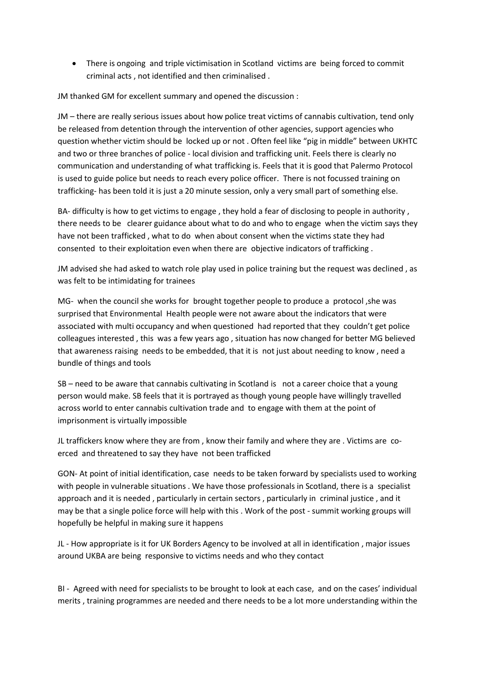There is ongoing and triple victimisation in Scotland victims are being forced to commit criminal acts , not identified and then criminalised .

JM thanked GM for excellent summary and opened the discussion :

JM – there are really serious issues about how police treat victims of cannabis cultivation, tend only be released from detention through the intervention of other agencies, support agencies who question whether victim should be locked up or not . Often feel like "pig in middle" between UKHTC and two or three branches of police - local division and trafficking unit. Feels there is clearly no communication and understanding of what trafficking is. Feels that it is good that Palermo Protocol is used to guide police but needs to reach every police officer. There is not focussed training on trafficking- has been told it is just a 20 minute session, only a very small part of something else.

BA- difficulty is how to get victims to engage, they hold a fear of disclosing to people in authority, there needs to be clearer guidance about what to do and who to engage when the victim says they have not been trafficked , what to do when about consent when the victims state they had consented to their exploitation even when there are objective indicators of trafficking .

JM advised she had asked to watch role play used in police training but the request was declined , as was felt to be intimidating for trainees

MG- when the council she works for brought together people to produce a protocol ,she was surprised that Environmental Health people were not aware about the indicators that were associated with multi occupancy and when questioned had reported that they couldn't get police colleagues interested , this was a few years ago , situation has now changed for better MG believed that awareness raising needs to be embedded, that it is not just about needing to know , need a bundle of things and tools

SB – need to be aware that cannabis cultivating in Scotland is not a career choice that a young person would make. SB feels that it is portrayed as though young people have willingly travelled across world to enter cannabis cultivation trade and to engage with them at the point of imprisonment is virtually impossible

JL traffickers know where they are from , know their family and where they are . Victims are coerced and threatened to say they have not been trafficked

GON- At point of initial identification, case needs to be taken forward by specialists used to working with people in vulnerable situations . We have those professionals in Scotland, there is a specialist approach and it is needed , particularly in certain sectors , particularly in criminal justice , and it may be that a single police force will help with this . Work of the post - summit working groups will hopefully be helpful in making sure it happens

JL - How appropriate is it for UK Borders Agency to be involved at all in identification , major issues around UKBA are being responsive to victims needs and who they contact

BI - Agreed with need for specialists to be brought to look at each case, and on the cases' individual merits , training programmes are needed and there needs to be a lot more understanding within the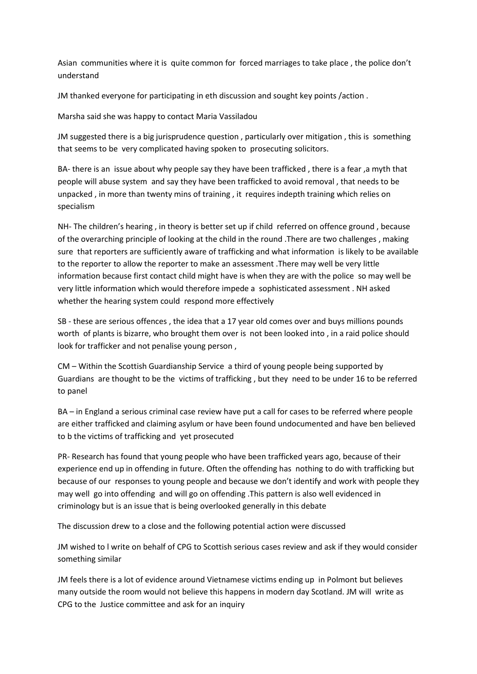Asian communities where it is quite common for forced marriages to take place , the police don't understand

JM thanked everyone for participating in eth discussion and sought key points /action .

Marsha said she was happy to contact Maria Vassiladou

JM suggested there is a big jurisprudence question , particularly over mitigation , this is something that seems to be very complicated having spoken to prosecuting solicitors.

BA- there is an issue about why people say they have been trafficked , there is a fear ,a myth that people will abuse system and say they have been trafficked to avoid removal , that needs to be unpacked , in more than twenty mins of training , it requires indepth training which relies on specialism

NH- The children's hearing , in theory is better set up if child referred on offence ground , because of the overarching principle of looking at the child in the round .There are two challenges , making sure that reporters are sufficiently aware of trafficking and what information is likely to be available to the reporter to allow the reporter to make an assessment .There may well be very little information because first contact child might have is when they are with the police so may well be very little information which would therefore impede a sophisticated assessment . NH asked whether the hearing system could respond more effectively

SB - these are serious offences , the idea that a 17 year old comes over and buys millions pounds worth of plants is bizarre, who brought them over is not been looked into , in a raid police should look for trafficker and not penalise young person ,

CM – Within the Scottish Guardianship Service a third of young people being supported by Guardians are thought to be the victims of trafficking , but they need to be under 16 to be referred to panel

BA – in England a serious criminal case review have put a call for cases to be referred where people are either trafficked and claiming asylum or have been found undocumented and have ben believed to b the victims of trafficking and yet prosecuted

PR- Research has found that young people who have been trafficked years ago, because of their experience end up in offending in future. Often the offending has nothing to do with trafficking but because of our responses to young people and because we don't identify and work with people they may well go into offending and will go on offending .This pattern is also well evidenced in criminology but is an issue that is being overlooked generally in this debate

The discussion drew to a close and the following potential action were discussed

JM wished to l write on behalf of CPG to Scottish serious cases review and ask if they would consider something similar

JM feels there is a lot of evidence around Vietnamese victims ending up in Polmont but believes many outside the room would not believe this happens in modern day Scotland. JM will write as CPG to the Justice committee and ask for an inquiry